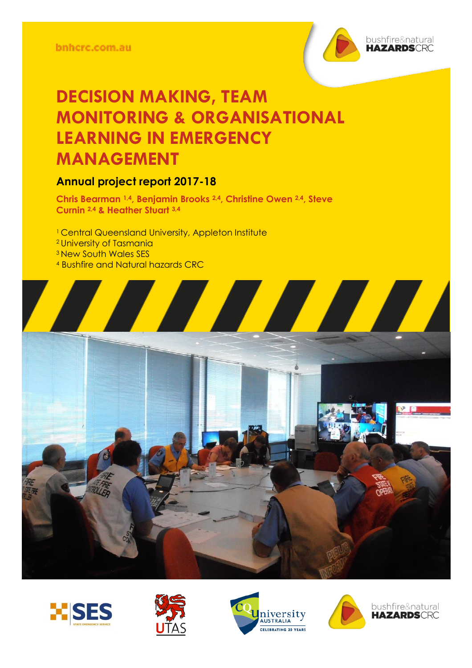

### **Annual project report 2017-18**

**Chris Bearman 1,4, Benjamin Brooks 2,4, Christine Owen 2,4, Steve Curnin 2,4 & Heather Stuart 3,4**

- <sup>1</sup> Central Queensland University, Appleton Institute <sup>2</sup> University of Tasmania <sup>3</sup> New South Wales SES
- <sup>4</sup> Bushfire and Natural hazards CRC









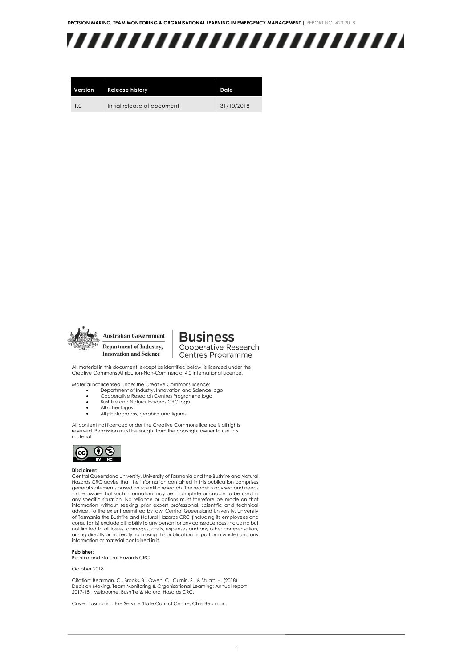

| Version        | <b>Release history</b>      | Date       |
|----------------|-----------------------------|------------|
| 1 <sub>0</sub> | Initial release of document | 31/10/2018 |



**Australian Government** Department of Industry, **Innovation and Science** 

**Business** Cooperative Research Centres Programme

All material in this document, except as identified below, is licensed under the Creative Commons Attribution-Non-Commercial 4.0 International Licence.

Material not licensed under the Creative Commons licence: • Department of Industry, Innovation and Science logo

- 
- Cooperative Research Centres Programme logo • Bushfire and Natural Hazards CRC logo
- All other logos
- All photographs, graphics and figures
- 

All content not licenced under the Creative Commons licence is all rights reserved. Permission must be sought from the copyright owner to use this material.



#### **Disclaimer:**

Central Queensland University, University of Tasmania and the Bushfire and Natural Hazards CRC advise that the information contained in this publication comprises general statements based on scientific research. The reader is advised and needs to be aware that such information may be incomplete or unable to be used in any specific situation. No reliance or actions must therefore be made on that information without seeking prior expert professional, scientific and technical<br>advice. To the extent permitted by law, Central Queensland University, University<br>of Tasmania the Bushfire and Natural Hazards CRC (including consultants) exclude all liability to any person for any consequences, including but not limited to all losses, damages, costs, expenses and any other compensation, arising directly or indirectly from using this publication (in part or in whole) and any information or material contained in it.

#### **Publisher:**

Bushfire and Natural Hazards CRC

#### October 2018

Citation: Bearman, C., Brooks, B., Owen, C., Curnin, S., & Stuart, H. (2018). Decision Making, Team Monitoring & Organisational Learning: Annual report 2017-18. Melbourne: Bushfire & Natural Hazards CRC.

Cover: Tasmanian Fire Service State Control Centre, Chris Bearman.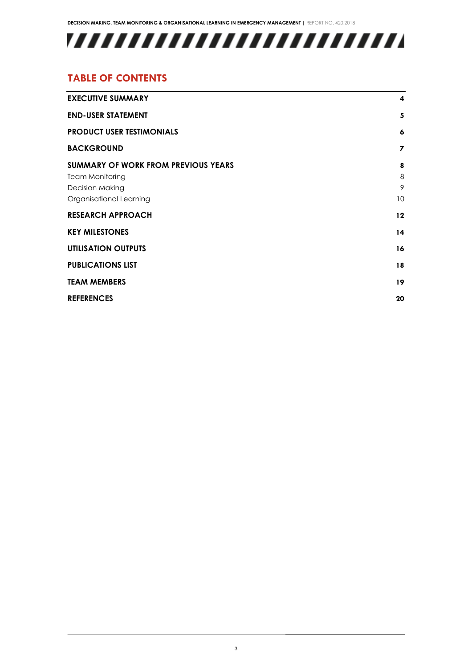## 

### **TABLE OF CONTENTS**

| <b>EXECUTIVE SUMMARY</b>                                                                                                  | $\overline{\mathbf{4}}$        |
|---------------------------------------------------------------------------------------------------------------------------|--------------------------------|
| <b>END-USER STATEMENT</b>                                                                                                 | 5                              |
| <b>PRODUCT USER TESTIMONIALS</b>                                                                                          | 6                              |
| <b>BACKGROUND</b>                                                                                                         | 7                              |
| <b>SUMMARY OF WORK FROM PREVIOUS YEARS</b><br><b>Team Monitoring</b><br><b>Decision Making</b><br>Organisational Learning | 8<br>8<br>9<br>10 <sup>°</sup> |
| <b>RESEARCH APPROACH</b>                                                                                                  | 12                             |
| <b>KEY MILESTONES</b>                                                                                                     | 14                             |
| <b>UTILISATION OUTPUTS</b>                                                                                                | 16                             |
| <b>PUBLICATIONS LIST</b>                                                                                                  | 18                             |
| <b>TEAM MEMBERS</b>                                                                                                       | 19                             |
| <b>REFERENCES</b>                                                                                                         | 20                             |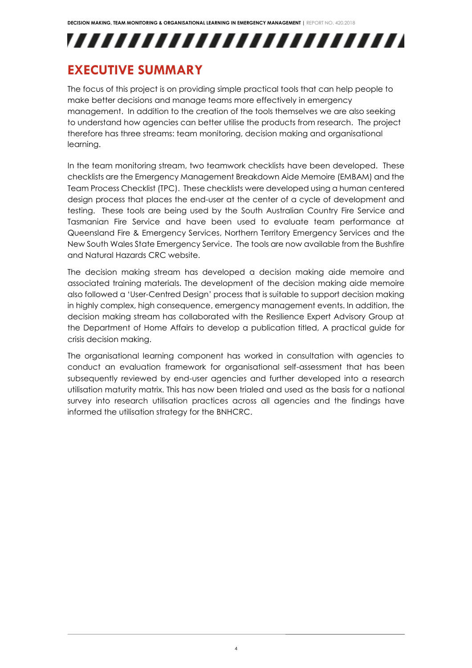,,,,,,,,,,,,,,,,,,,,,,,,,

## <span id="page-3-0"></span>**EXECUTIVE SUMMARY**

The focus of this project is on providing simple practical tools that can help people to make better decisions and manage teams more effectively in emergency management. In addition to the creation of the tools themselves we are also seeking to understand how agencies can better utilise the products from research. The project therefore has three streams: team monitoring, decision making and organisational learning.

In the team monitoring stream, two teamwork checklists have been developed. These checklists are the Emergency Management Breakdown Aide Memoire (EMBAM) and the Team Process Checklist (TPC). These checklists were developed using a human centered design process that places the end-user at the center of a cycle of development and testing. These tools are being used by the South Australian Country Fire Service and Tasmanian Fire Service and have been used to evaluate team performance at Queensland Fire & Emergency Services, Northern Territory Emergency Services and the New South Wales State Emergency Service. The tools are now available from the Bushfire and Natural Hazards CRC website.

The decision making stream has developed a decision making aide memoire and associated training materials. The development of the decision making aide memoire also followed a 'User-Centred Design' process that is suitable to support decision making in highly complex, high consequence, emergency management events. In addition, the decision making stream has collaborated with the Resilience Expert Advisory Group at the Department of Home Affairs to develop a publication titled, A practical guide for crisis decision making.

The organisational learning component has worked in consultation with agencies to conduct an evaluation framework for organisational self-assessment that has been subsequently reviewed by end-user agencies and further developed into a research utilisation maturity matrix. This has now been trialed and used as the basis for a national survey into research utilisation practices across all agencies and the findings have informed the utilisation strategy for the BNHCRC.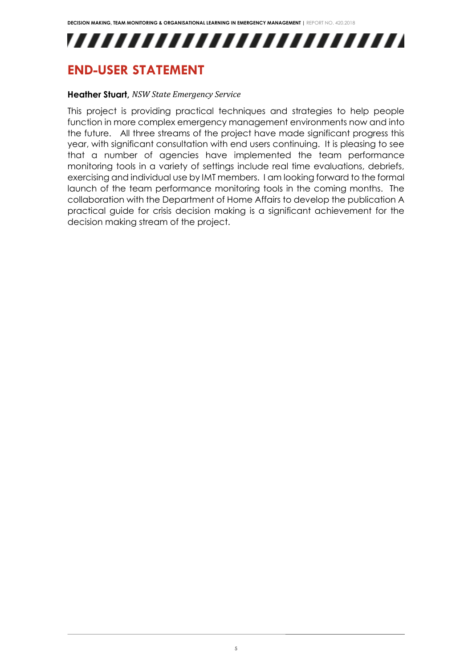## ,,,,,,,,,,,,,,,,,,,,,,,,,,

## <span id="page-4-0"></span>**END-USER STATEMENT**

#### **Heather Stuart,** *NSW State Emergency Service*

This project is providing practical techniques and strategies to help people function in more complex emergency management environments now and into the future. All three streams of the project have made significant progress this year, with significant consultation with end users continuing. It is pleasing to see that a number of agencies have implemented the team performance monitoring tools in a variety of settings include real time evaluations, debriefs, exercising and individual use by IMT members. I am looking forward to the formal launch of the team performance monitoring tools in the coming months. The collaboration with the Department of Home Affairs to develop the publication A practical guide for crisis decision making is a significant achievement for the decision making stream of the project.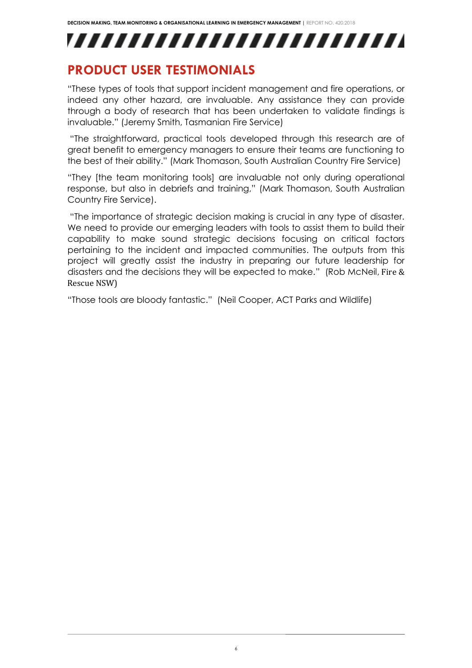,,,,,,,,,,,,,,,,,,,,,,,,,

### <span id="page-5-0"></span>**PRODUCT USER TESTIMONIALS**

"These types of tools that support incident management and fire operations, or indeed any other hazard, are invaluable. Any assistance they can provide through a body of research that has been undertaken to validate findings is invaluable." (Jeremy Smith, Tasmanian Fire Service)

"The straightforward, practical tools developed through this research are of great benefit to emergency managers to ensure their teams are functioning to the best of their ability." (Mark Thomason, South Australian Country Fire Service)

"They [the team monitoring tools] are invaluable not only during operational response, but also in debriefs and training," (Mark Thomason, South Australian Country Fire Service).

"The importance of strategic decision making is crucial in any type of disaster. We need to provide our emerging leaders with tools to assist them to build their capability to make sound strategic decisions focusing on critical factors pertaining to the incident and impacted communities. The outputs from this project will greatly assist the industry in preparing our future leadership for disasters and the decisions they will be expected to make." (Rob McNeil, Fire & Rescue NSW)

"Those tools are bloody fantastic." (Neil Cooper, ACT Parks and Wildlife)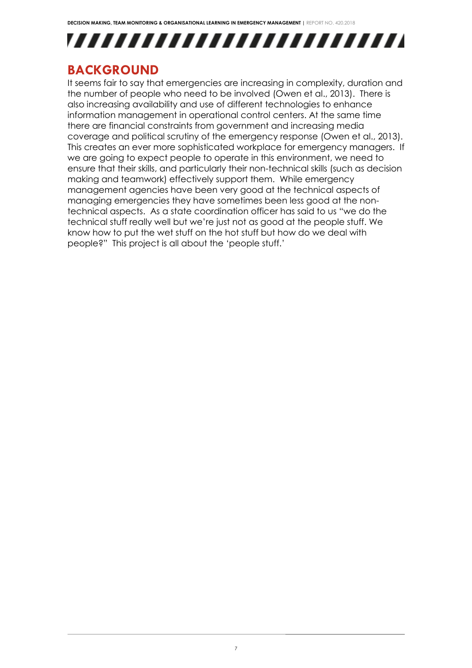

### <span id="page-6-0"></span>**BACKGROUND**

It seems fair to say that emergencies are increasing in complexity, duration and the number of people who need to be involved (Owen et al., 2013). There is also increasing availability and use of different technologies to enhance information management in operational control centers. At the same time there are financial constraints from government and increasing media coverage and political scrutiny of the emergency response (Owen et al., 2013). This creates an ever more sophisticated workplace for emergency managers. If we are going to expect people to operate in this environment, we need to ensure that their skills, and particularly their non-technical skills (such as decision making and teamwork) effectively support them. While emergency management agencies have been very good at the technical aspects of managing emergencies they have sometimes been less good at the nontechnical aspects. As a state coordination officer has said to us "we do the technical stuff really well but we're just not as good at the people stuff. We know how to put the wet stuff on the hot stuff but how do we deal with people?" This project is all about the 'people stuff.'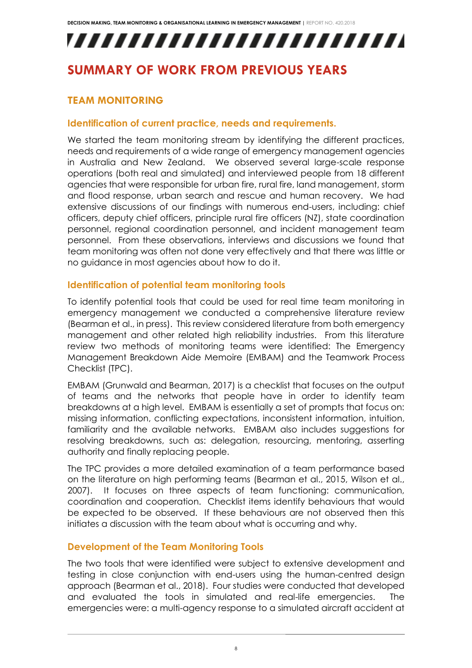# ,,,,,,,,,,,,,,,,,,,,,,,,,,

## <span id="page-7-1"></span><span id="page-7-0"></span>**SUMMARY OF WORK FROM PREVIOUS YEARS**

#### **TEAM MONITORING**

#### **Identification of current practice, needs and requirements.**

We started the team monitoring stream by identifying the different practices, needs and requirements of a wide range of emergency management agencies in Australia and New Zealand. We observed several large-scale response operations (both real and simulated) and interviewed people from 18 different agencies that were responsible for urban fire, rural fire, land management, storm and flood response, urban search and rescue and human recovery. We had extensive discussions of our findings with numerous end-users, including: chief officers, deputy chief officers, principle rural fire officers (NZ), state coordination personnel, regional coordination personnel, and incident management team personnel. From these observations, interviews and discussions we found that team monitoring was often not done very effectively and that there was little or no guidance in most agencies about how to do it.

#### **Identification of potential team monitoring tools**

To identify potential tools that could be used for real time team monitoring in emergency management we conducted a comprehensive literature review (Bearman et al., in press). This review considered literature from both emergency management and other related high reliability industries. From this literature review two methods of monitoring teams were identified: The Emergency Management Breakdown Aide Memoire (EMBAM) and the Teamwork Process Checklist (TPC).

EMBAM (Grunwald and Bearman, 2017) is a checklist that focuses on the output of teams and the networks that people have in order to identify team breakdowns at a high level. EMBAM is essentially a set of prompts that focus on: missing information, conflicting expectations, inconsistent information, intuition, familiarity and the available networks. EMBAM also includes suggestions for resolving breakdowns, such as: delegation, resourcing, mentoring, asserting authority and finally replacing people.

The TPC provides a more detailed examination of a team performance based on the literature on high performing teams (Bearman et al., 2015, Wilson et al., 2007). It focuses on three aspects of team functioning: communication, coordination and cooperation. Checklist items identify behaviours that would be expected to be observed. If these behaviours are not observed then this initiates a discussion with the team about what is occurring and why.

#### **Development of the Team Monitoring Tools**

The two tools that were identified were subject to extensive development and testing in close conjunction with end-users using the human-centred design approach (Bearman et al., 2018). Four studies were conducted that developed and evaluated the tools in simulated and real-life emergencies. The emergencies were: a multi-agency response to a simulated aircraft accident at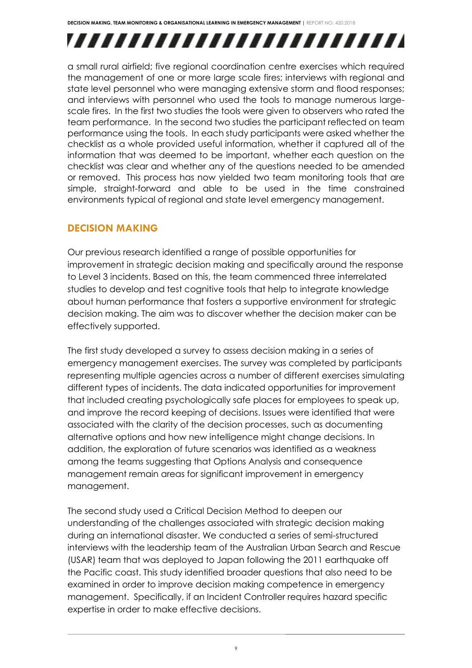# ,,,,,,,,,,,,,,,,,,,,,,,,,

a small rural airfield; five regional coordination centre exercises which required the management of one or more large scale fires; interviews with regional and state level personnel who were managing extensive storm and flood responses; and interviews with personnel who used the tools to manage numerous largescale fires. In the first two studies the tools were given to observers who rated the team performance. In the second two studies the participant reflected on team performance using the tools. In each study participants were asked whether the checklist as a whole provided useful information, whether it captured all of the information that was deemed to be important, whether each question on the checklist was clear and whether any of the questions needed to be amended or removed. This process has now yielded two team monitoring tools that are simple, straight-forward and able to be used in the time constrained environments typical of regional and state level emergency management.

### <span id="page-8-0"></span>**DECISION MAKING**

Our previous research identified a range of possible opportunities for improvement in strategic decision making and specifically around the response to Level 3 incidents. Based on this, the team commenced three interrelated studies to develop and test cognitive tools that help to integrate knowledge about human performance that fosters a supportive environment for strategic decision making. The aim was to discover whether the decision maker can be effectively supported.

The first study developed a survey to assess decision making in a series of emergency management exercises. The survey was completed by participants representing multiple agencies across a number of different exercises simulating different types of incidents. The data indicated opportunities for improvement that included creating psychologically safe places for employees to speak up, and improve the record keeping of decisions. Issues were identified that were associated with the clarity of the decision processes, such as documenting alternative options and how new intelligence might change decisions. In addition, the exploration of future scenarios was identified as a weakness among the teams suggesting that Options Analysis and consequence management remain areas for significant improvement in emergency management.

The second study used a Critical Decision Method to deepen our understanding of the challenges associated with strategic decision making during an international disaster. We conducted a series of semi-structured interviews with the leadership team of the Australian Urban Search and Rescue (USAR) team that was deployed to Japan following the 2011 earthquake off the Pacific coast. This study identified broader questions that also need to be examined in order to improve decision making competence in emergency management. Specifically, if an Incident Controller requires hazard specific expertise in order to make effective decisions.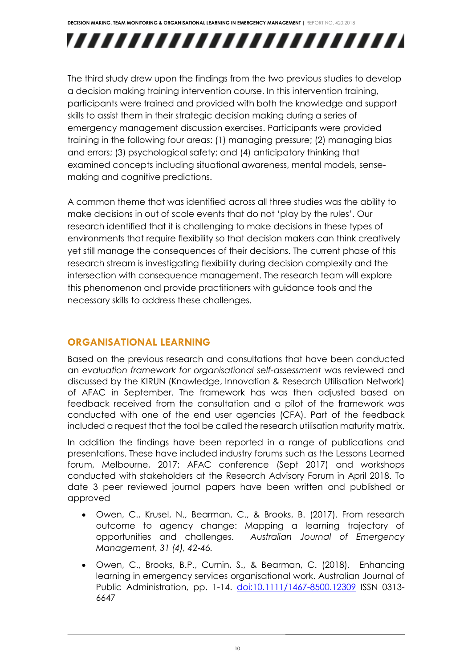# ,,,,,,,,,,,,,,,,,,,,,,,,,

The third study drew upon the findings from the two previous studies to develop a decision making training intervention course. In this intervention training, participants were trained and provided with both the knowledge and support skills to assist them in their strategic decision making during a series of emergency management discussion exercises. Participants were provided training in the following four areas: (1) managing pressure; (2) managing bias and errors; (3) psychological safety; and (4) anticipatory thinking that examined concepts including situational awareness, mental models, sensemaking and cognitive predictions.

A common theme that was identified across all three studies was the ability to make decisions in out of scale events that do not 'play by the rules'. Our research identified that it is challenging to make decisions in these types of environments that require flexibility so that decision makers can think creatively yet still manage the consequences of their decisions. The current phase of this research stream is investigating flexibility during decision complexity and the intersection with consequence management. The research team will explore this phenomenon and provide practitioners with guidance tools and the necessary skills to address these challenges.

#### <span id="page-9-0"></span>**ORGANISATIONAL LEARNING**

Based on the previous research and consultations that have been conducted an *evaluation framework for organisational self-assessment* was reviewed and discussed by the KIRUN (Knowledge, Innovation & Research Utilisation Network) of AFAC in September. The framework has was then adjusted based on feedback received from the consultation and a pilot of the framework was conducted with one of the end user agencies (CFA). Part of the feedback included a request that the tool be called the research utilisation maturity matrix.

In addition the findings have been reported in a range of publications and presentations. These have included industry forums such as the Lessons Learned forum, Melbourne, 2017; AFAC conference (Sept 2017) and workshops conducted with stakeholders at the Research Advisory Forum in April 2018. To date 3 peer reviewed journal papers have been written and published or approved

- Owen, C., Krusel, N., Bearman, C., & Brooks, B. (2017). From research outcome to agency change: Mapping a learning trajectory of opportunities and challenges. *Australian Journal of Emergency Management, 31 (4), 42-46.*
- Owen, C., Brooks, B.P., Curnin, S., & Bearman, C. (2018). Enhancing learning in emergency services organisational work. Australian Journal of Public Administration, pp. 1-14. [doi:10.1111/1467-8500.12309](http://dx.doi.org/10.1111/1467-8500.12309) ISSN 0313- 6647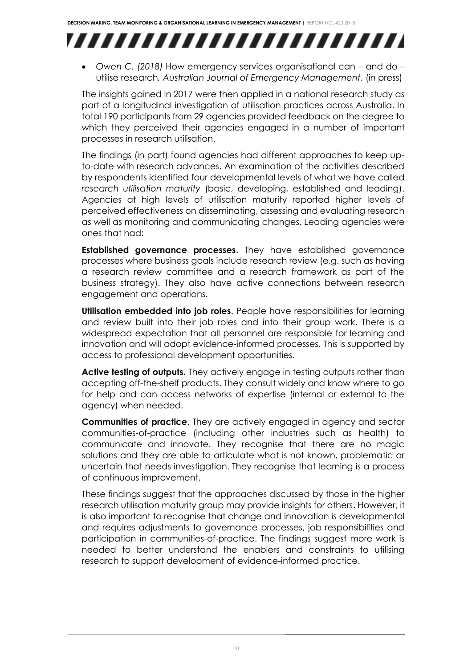

• *Owen C. (2018)* How emergency services organisational can – and do – utilise research*, Australian Journal of Emergency Management*, (in press)

The insights gained in 2017 were then applied in a national research study as part of a longitudinal investigation of utilisation practices across Australia. In total 190 participants from 29 agencies provided feedback on the degree to which they perceived their agencies engaged in a number of important processes in research utilisation.

The findings (in part) found agencies had different approaches to keep upto-date with research advances. An examination of the activities described by respondents identified four developmental levels of what we have called *research utilisation maturity* (basic, developing, established and leading). Agencies at high levels of utilisation maturity reported higher levels of perceived effectiveness on disseminating, assessing and evaluating research as well as monitoring and communicating changes. Leading agencies were ones that had:

**Established governance processes**. They have established governance processes where business goals include research review (e.g. such as having a research review committee and a research framework as part of the business strategy). They also have active connections between research engagement and operations.

**Utilisation embedded into job roles**. People have responsibilities for learning and review built into their job roles and into their group work. There is a widespread expectation that all personnel are responsible for learning and innovation and will adopt evidence-informed processes. This is supported by access to professional development opportunities.

**Active testing of outputs.** They actively engage in testing outputs rather than accepting off-the-shelf products. They consult widely and know where to go for help and can access networks of expertise (internal or external to the agency) when needed.

**Communities of practice**. They are actively engaged in agency and sector communities-of-practice (including other industries such as health) to communicate and innovate. They recognise that there are no magic solutions and they are able to articulate what is not known, problematic or uncertain that needs investigation. They recognise that learning is a process of continuous improvement.

These findings suggest that the approaches discussed by those in the higher research utilisation maturity group may provide insights for others. However, it is also important to recognise that change and innovation is developmental and requires adjustments to governance processes, job responsibilities and participation in communities-of-practice. The findings suggest more work is needed to better understand the enablers and constraints to utilising research to support development of evidence-informed practice.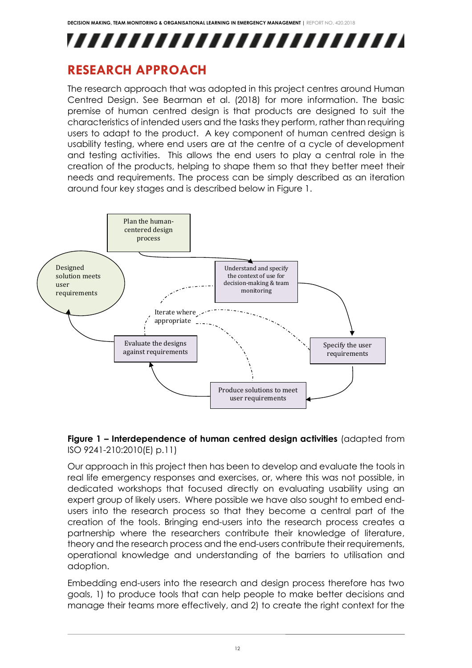

### <span id="page-11-0"></span>**RESEARCH APPROACH**

The research approach that was adopted in this project centres around Human Centred Design. See Bearman et al. (2018) for more information. The basic premise of human centred design is that products are designed to suit the characteristics of intended users and the tasks they perform, rather than requiring users to adapt to the product. A key component of human centred design is usability testing, where end users are at the centre of a cycle of development and testing activities. This allows the end users to play a central role in the creation of the products, helping to shape them so that they better meet their needs and requirements. The process can be simply described as an iteration around four key stages and is described below in Figure 1.



#### **Figure 1 – Interdependence of human centred design activities** (adapted from ISO 9241-210:2010(E) p.11)

Our approach in this project then has been to develop and evaluate the tools in real life emergency responses and exercises, or, where this was not possible, in dedicated workshops that focused directly on evaluating usability using an expert group of likely users. Where possible we have also sought to embed endusers into the research process so that they become a central part of the creation of the tools. Bringing end-users into the research process creates a partnership where the researchers contribute their knowledge of literature, theory and the research process and the end-users contribute their requirements, operational knowledge and understanding of the barriers to utilisation and adoption.

Embedding end-users into the research and design process therefore has two goals, 1) to produce tools that can help people to make better decisions and manage their teams more effectively, and 2) to create the right context for the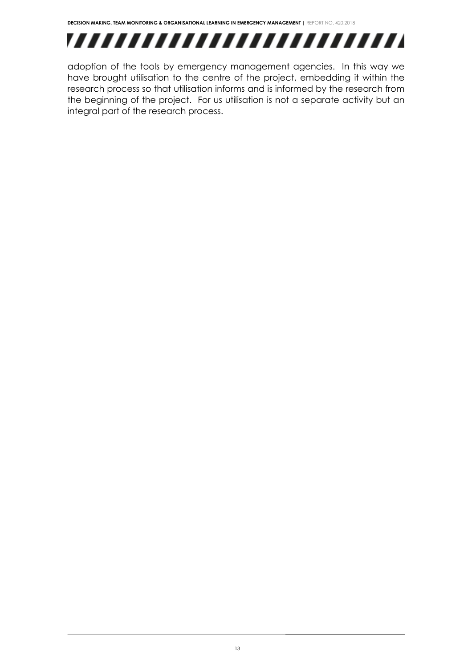

adoption of the tools by emergency management agencies. In this way we have brought utilisation to the centre of the project, embedding it within the research process so that utilisation informs and is informed by the research from the beginning of the project. For us utilisation is not a separate activity but an integral part of the research process.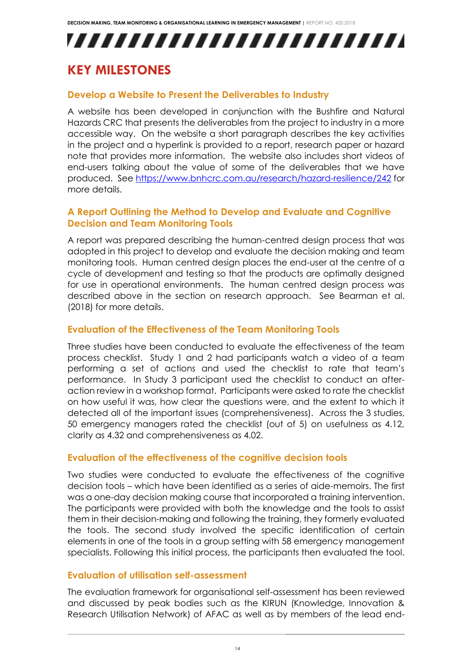## ,,,,,,,,,,,,,,,,,,,,,,,,,,

## <span id="page-13-0"></span>**KEY MILESTONES**

#### **Develop a Website to Present the Deliverables to Industry**

A website has been developed in conjunction with the Bushfire and Natural Hazards CRC that presents the deliverables from the project to industry in a more accessible way. On the website a short paragraph describes the key activities in the project and a hyperlink is provided to a report, research paper or hazard note that provides more information. The website also includes short videos of end-users talking about the value of some of the deliverables that we have produced. See<https://www.bnhcrc.com.au/research/hazard-resilience/242> for more details.

#### **A Report Outlining the Method to Develop and Evaluate and Cognitive Decision and Team Monitoring Tools**

A report was prepared describing the human-centred design process that was adopted in this project to develop and evaluate the decision making and team monitoring tools. Human centred design places the end-user at the centre of a cycle of development and testing so that the products are optimally designed for use in operational environments. The human centred design process was described above in the section on research approach. See Bearman et al. (2018) for more details.

#### **Evaluation of the Effectiveness of the Team Monitoring Tools**

Three studies have been conducted to evaluate the effectiveness of the team process checklist. Study 1 and 2 had participants watch a video of a team performing a set of actions and used the checklist to rate that team's performance. In Study 3 participant used the checklist to conduct an afteraction review in a workshop format. Participants were asked to rate the checklist on how useful it was, how clear the questions were, and the extent to which it detected all of the important issues (comprehensiveness). Across the 3 studies, 50 emergency managers rated the checklist (out of 5) on usefulness as 4.12, clarity as 4.32 and comprehensiveness as 4.02.

#### **Evaluation of the effectiveness of the cognitive decision tools**

Two studies were conducted to evaluate the effectiveness of the cognitive decision tools – which have been identified as a series of aide-memoirs. The first was a one-day decision making course that incorporated a training intervention. The participants were provided with both the knowledge and the tools to assist them in their decision-making and following the training, they formerly evaluated the tools. The second study involved the specific identification of certain elements in one of the tools in a group setting with 58 emergency management specialists. Following this initial process, the participants then evaluated the tool.

#### **Evaluation of utilisation self-assessment**

The evaluation framework for organisational self-assessment has been reviewed and discussed by peak bodies such as the KIRUN (Knowledge, Innovation & Research Utilisation Network) of AFAC as well as by members of the lead end-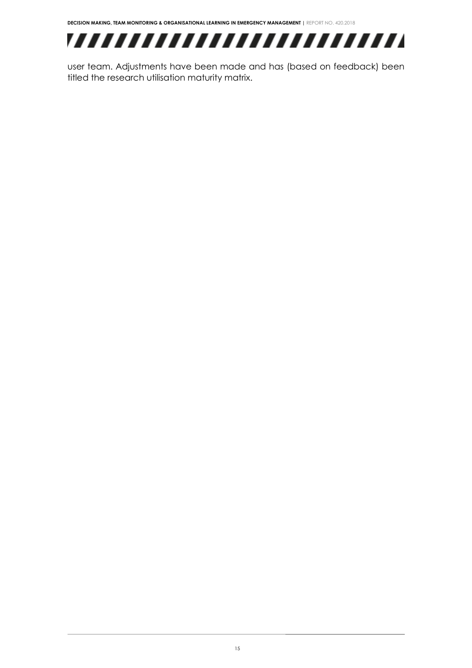

user team. Adjustments have been made and has (based on feedback) been titled the research utilisation maturity matrix.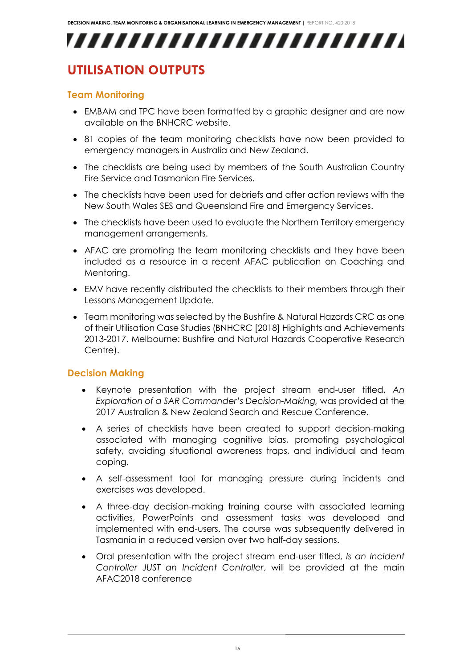## ,,,,,,,,,,,,,,,,,,,,,,,,,

## <span id="page-15-0"></span>**UTILISATION OUTPUTS**

#### **Team Monitoring**

- EMBAM and TPC have been formatted by a graphic designer and are now available on the BNHCRC website.
- 81 copies of the team monitoring checklists have now been provided to emergency managers in Australia and New Zealand.
- The checklists are being used by members of the South Australian Country Fire Service and Tasmanian Fire Services.
- The checklists have been used for debriefs and after action reviews with the New South Wales SES and Queensland Fire and Emergency Services.
- The checklists have been used to evaluate the Northern Territory emergency management arrangements.
- AFAC are promoting the team monitoring checklists and they have been included as a resource in a recent AFAC publication on Coaching and Mentoring.
- EMV have recently distributed the checklists to their members through their Lessons Management Update.
- Team monitoring was selected by the Bushfire & Natural Hazards CRC as one of their Utilisation Case Studies (BNHCRC [2018] Highlights and Achievements 2013-2017. Melbourne: Bushfire and Natural Hazards Cooperative Research Centre).

#### **Decision Making**

- Keynote presentation with the project stream end-user titled, *An Exploration of a SAR Commander's Decision-Making,* was provided at the 2017 Australian & New Zealand Search and Rescue Conference.
- A series of checklists have been created to support decision-making associated with managing cognitive bias, promoting psychological safety, avoiding situational awareness traps, and individual and team coping.
- A self-assessment tool for managing pressure during incidents and exercises was developed.
- A three-day decision-making training course with associated learning activities, PowerPoints and assessment tasks was developed and implemented with end-users. The course was subsequently delivered in Tasmania in a reduced version over two half-day sessions.
- Oral presentation with the project stream end-user titled, *Is an Incident Controller JUST an Incident Controller*, will be provided at the main AFAC2018 conference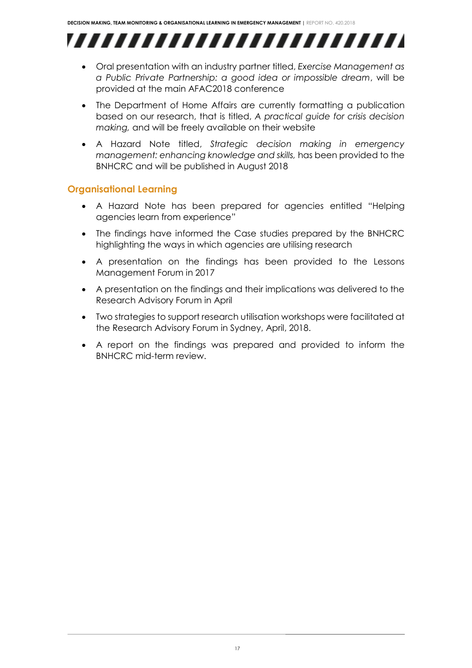,,,,,,,,,,,,,,,,,,,,,,,,,

- Oral presentation with an industry partner titled, *Exercise Management as a Public Private Partnership: a good idea or impossible dream*, will be provided at the main AFAC2018 conference
- The Department of Home Affairs are currently formatting a publication based on our research, that is titled, *A practical guide for crisis decision making,* and will be freely available on their website
- A Hazard Note titled, *Strategic decision making in emergency management: enhancing knowledge and skills,* has been provided to the BNHCRC and will be published in August 2018

#### **Organisational Learning**

- A Hazard Note has been prepared for agencies entitled "Helping agencies learn from experience"
- The findings have informed the Case studies prepared by the BNHCRC highlighting the ways in which agencies are utilising research
- A presentation on the findings has been provided to the Lessons Management Forum in 2017
- A presentation on the findings and their implications was delivered to the Research Advisory Forum in April
- Two strategies to support research utilisation workshops were facilitated at the Research Advisory Forum in Sydney, April, 2018.
- A report on the findings was prepared and provided to inform the BNHCRC mid-term review.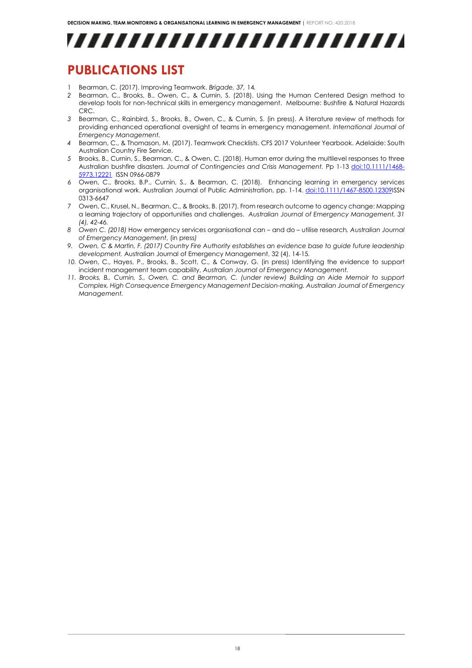

### <span id="page-17-0"></span>**PUBLICATIONS LIST**

- 1 Bearman, C. (2017). Improving Teamwork. *Brigade, 37,* 14*.*
- *2* Bearman, C., Brooks, B., Owen, C., & Curnin, S. (2018). Using the Human Centered Design method to develop tools for non-technical skills in emergency management. Melbourne: Bushfire & Natural Hazards CRC.
- *3* Bearman, C., Rainbird, S., Brooks, B., Owen, C., & Curnin, S. (in press). A literature review of methods for providing enhanced operational oversight of teams in emergency management. *International Journal of Emergency Management.*
- *4* Bearman, C., & Thomason, M. (2017). Teamwork Checklists. CFS 2017 Volunteer Yearbook. Adelaide: South Australian Country Fire Service.
- *5* Brooks, B., Curnin, S., Bearman, C., & Owen, C. (2018). Human error during the multilevel responses to three Australian bushfire disasters. *Journal of Contingencies and Crisis Management.* Pp 1-1[3 doi:10.1111/1468-](http://dx.doi.org/10.1111/1468-5973.12221) [5973.12221](http://dx.doi.org/10.1111/1468-5973.12221) ISSN 0966-0879
- 6 Owen, C., Brooks, B.P., Curnin, S., & Bearman, C. (2018). Enhancing learning in emergency services organisational work. Australian Journal of Public Administration, pp. 1-14. [doi:10.1111/1467-8500.12309I](http://dx.doi.org/10.1111/1467-8500.12309)SSN 0313-6647
- 7 Owen, C., Krusel, N., Bearman, C., & Brooks, B. (2017). From research outcome to agency change: Mapping a learning trajectory of opportunities and challenges. *Australian Journal of Emergency Management, 31 (4), 42-46.*
- *8 Owen C. (2018)* How emergency services organisational can and do utilise research*, Australian Journal of Emergency Management*, (in press*)*
- *9. Owen, C & Martin, F. (2017) Country Fire Authority establishes an evidence base to guide future leadership development,* Australian Journal of Emergency Management, 32 (4), 14-15*.*
- *10.* Owen, C., Hayes, P., Brooks, B., Scott, C., & Conway, G. (in press) Identifying the evidence to support incident management team capability, *Australian Journal of Emergency Management.*
- *11. Brooks, B., Curnin, S., Owen, C. and Bearman, C. (under review) Building an Aide Memoir to support Complex, High Consequence Emergency Management Decision-making. Australian Journal of Emergency Management.*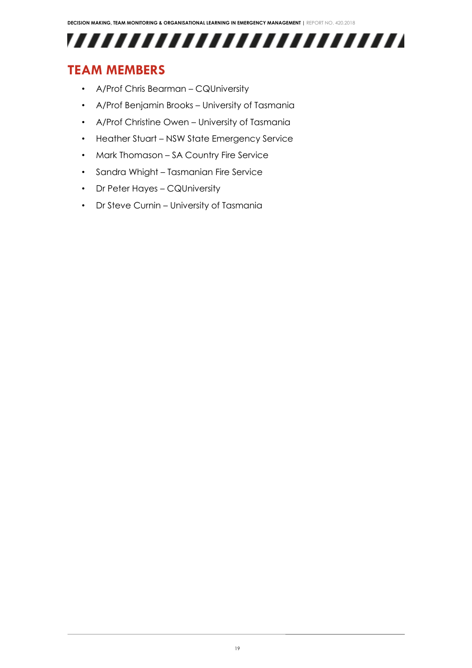

## <span id="page-18-0"></span>**TEAM MEMBERS**

- A/Prof Chris Bearman CQUniversity
- A/Prof Benjamin Brooks University of Tasmania
- A/Prof Christine Owen University of Tasmania
- Heather Stuart NSW State Emergency Service
- Mark Thomason SA Country Fire Service
- Sandra Whight Tasmanian Fire Service
- Dr Peter Hayes CQUniversity
- Dr Steve Curnin University of Tasmania